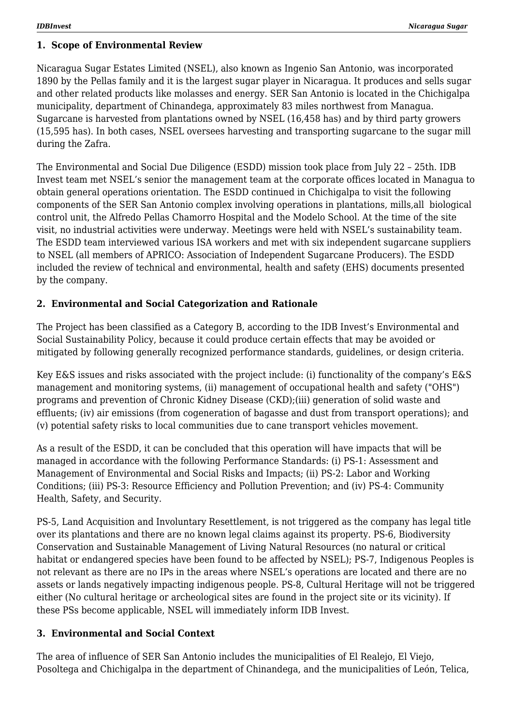### **1. Scope of Environmental Review**

Nicaragua Sugar Estates Limited (NSEL), also known as Ingenio San Antonio, was incorporated 1890 by the Pellas family and it is the largest sugar player in Nicaragua. It produces and sells sugar and other related products like molasses and energy. SER San Antonio is located in the Chichigalpa municipality, department of Chinandega, approximately 83 miles northwest from Managua. Sugarcane is harvested from plantations owned by NSEL (16,458 has) and by third party growers (15,595 has). In both cases, NSEL oversees harvesting and transporting sugarcane to the sugar mill during the Zafra.

The Environmental and Social Due Diligence (ESDD) mission took place from July 22 – 25th. IDB Invest team met NSEL's senior the management team at the corporate offices located in Managua to obtain general operations orientation. The ESDD continued in Chichigalpa to visit the following components of the SER San Antonio complex involving operations in plantations, mills,all biological control unit, the Alfredo Pellas Chamorro Hospital and the Modelo School. At the time of the site visit, no industrial activities were underway. Meetings were held with NSEL's sustainability team. The ESDD team interviewed various ISA workers and met with six independent sugarcane suppliers to NSEL (all members of APRICO: Association of Independent Sugarcane Producers). The ESDD included the review of technical and environmental, health and safety (EHS) documents presented by the company.

## **2. Environmental and Social Categorization and Rationale**

The Project has been classified as a Category B, according to the IDB Invest's Environmental and Social Sustainability Policy, because it could produce certain effects that may be avoided or mitigated by following generally recognized performance standards, guidelines, or design criteria.

Key E&S issues and risks associated with the project include: (i) functionality of the company's E&S management and monitoring systems, (ii) management of occupational health and safety ("OHS") programs and prevention of Chronic Kidney Disease (CKD);(iii) generation of solid waste and effluents; (iv) air emissions (from cogeneration of bagasse and dust from transport operations); and (v) potential safety risks to local communities due to cane transport vehicles movement.

As a result of the ESDD, it can be concluded that this operation will have impacts that will be managed in accordance with the following Performance Standards: (i) PS-1: Assessment and Management of Environmental and Social Risks and Impacts; (ii) PS-2: Labor and Working Conditions; (iii) PS-3: Resource Efficiency and Pollution Prevention; and (iv) PS-4: Community Health, Safety, and Security.

PS-5, Land Acquisition and Involuntary Resettlement, is not triggered as the company has legal title over its plantations and there are no known legal claims against its property. PS-6, Biodiversity Conservation and Sustainable Management of Living Natural Resources (no natural or critical habitat or endangered species have been found to be affected by NSEL); PS-7, Indigenous Peoples is not relevant as there are no IPs in the areas where NSEL's operations are located and there are no assets or lands negatively impacting indigenous people. PS-8, Cultural Heritage will not be triggered either (No cultural heritage or archeological sites are found in the project site or its vicinity). If these PSs become applicable, NSEL will immediately inform IDB Invest.

## **3. Environmental and Social Context**

The area of influence of SER San Antonio includes the municipalities of El Realejo, El Viejo, Posoltega and Chichigalpa in the department of Chinandega, and the municipalities of León, Telica,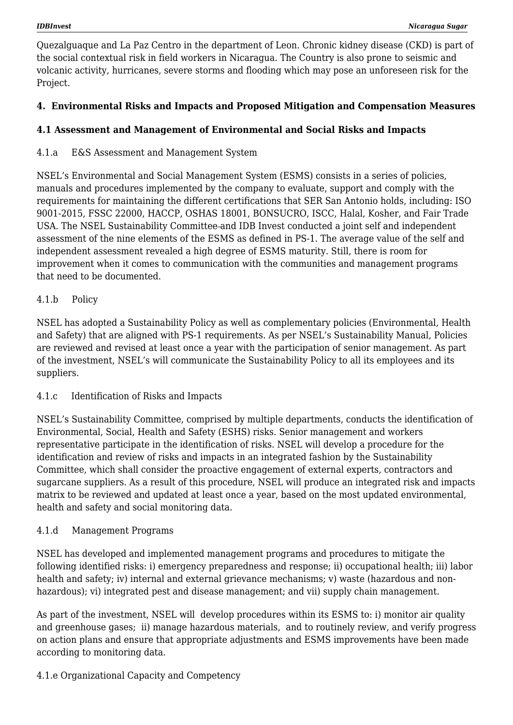Quezalguaque and La Paz Centro in the department of Leon. Chronic kidney disease (CKD) is part of the social contextual risk in field workers in Nicaragua. The Country is also prone to seismic and volcanic activity, hurricanes, severe storms and flooding which may pose an unforeseen risk for the Project.

# **4. Environmental Risks and Impacts and Proposed Mitigation and Compensation Measures**

# **4.1 Assessment and Management of Environmental and Social Risks and Impacts**

4.1.a E&S Assessment and Management System

NSEL's Environmental and Social Management System (ESMS) consists in a series of policies, manuals and procedures implemented by the company to evaluate, support and comply with the requirements for maintaining the different certifications that SER San Antonio holds, including: ISO 9001-2015, FSSC 22000, HACCP, OSHAS 18001, BONSUCRO, ISCC, Halal, Kosher, and Fair Trade USA. The NSEL Sustainability Committee and IDB Invest conducted a joint self and independent assessment of the nine elements of the ESMS as defined in PS-1. The average value of the self and independent assessment revealed a high degree of ESMS maturity. Still, there is room for improvement when it comes to communication with the communities and management programs that need to be documented.

## 4.1.b Policy

NSEL has adopted a Sustainability Policy as well as complementary policies (Environmental, Health and Safety) that are aligned with PS-1 requirements. As per NSEL's Sustainability Manual, Policies are reviewed and revised at least once a year with the participation of senior management. As part of the investment, NSEL's will communicate the Sustainability Policy to all its employees and its suppliers.

### 4.1.c Identification of Risks and Impacts

NSEL's Sustainability Committee, comprised by multiple departments, conducts the identification of Environmental, Social, Health and Safety (ESHS) risks. Senior management and workers representative participate in the identification of risks. NSEL will develop a procedure for the identification and review of risks and impacts in an integrated fashion by the Sustainability Committee, which shall consider the proactive engagement of external experts, contractors and sugarcane suppliers. As a result of this procedure, NSEL will produce an integrated risk and impacts matrix to be reviewed and updated at least once a year, based on the most updated environmental, health and safety and social monitoring data.

## 4.1.d Management Programs

NSEL has developed and implemented management programs and procedures to mitigate the following identified risks: i) emergency preparedness and response; ii) occupational health; iii) labor health and safety; iv) internal and external grievance mechanisms; v) waste (hazardous and nonhazardous); vi) integrated pest and disease management; and vii) supply chain management.

As part of the investment, NSEL will develop procedures within its ESMS to: i) monitor air quality and greenhouse gases; ii) manage hazardous materials, and to routinely review, and verify progress on action plans and ensure that appropriate adjustments and ESMS improvements have been made according to monitoring data.

## 4.1.e Organizational Capacity and Competency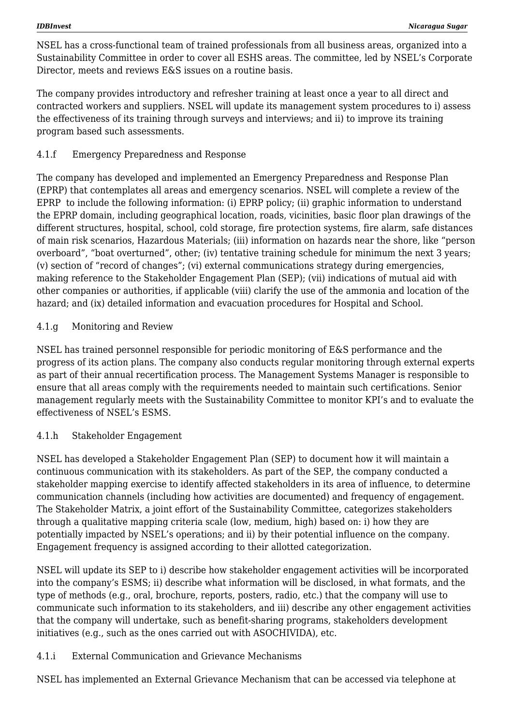NSEL has a cross-functional team of trained professionals from all business areas, organized into a Sustainability Committee in order to cover all ESHS areas. The committee, led by NSEL's Corporate Director, meets and reviews E&S issues on a routine basis.

The company provides introductory and refresher training at least once a year to all direct and contracted workers and suppliers. NSEL will update its management system procedures to i) assess the effectiveness of its training through surveys and interviews; and ii) to improve its training program based such assessments.

## 4.1.f Emergency Preparedness and Response

The company has developed and implemented an Emergency Preparedness and Response Plan (EPRP) that contemplates all areas and emergency scenarios. NSEL will complete a review of the EPRP to include the following information: (i) EPRP policy; (ii) graphic information to understand the EPRP domain, including geographical location, roads, vicinities, basic floor plan drawings of the different structures, hospital, school, cold storage, fire protection systems, fire alarm, safe distances of main risk scenarios, Hazardous Materials; (iii) information on hazards near the shore, like "person overboard", "boat overturned", other; (iv) tentative training schedule for minimum the next 3 years; (v) section of "record of changes"; (vi) external communications strategy during emergencies, making reference to the Stakeholder Engagement Plan (SEP); (vii) indications of mutual aid with other companies or authorities, if applicable (viii) clarify the use of the ammonia and location of the hazard; and (ix) detailed information and evacuation procedures for Hospital and School.

### 4.1.g Monitoring and Review

NSEL has trained personnel responsible for periodic monitoring of E&S performance and the progress of its action plans. The company also conducts regular monitoring through external experts as part of their annual recertification process. The Management Systems Manager is responsible to ensure that all areas comply with the requirements needed to maintain such certifications. Senior management regularly meets with the Sustainability Committee to monitor KPI's and to evaluate the effectiveness of NSEL's ESMS.

### 4.1.h Stakeholder Engagement

NSEL has developed a Stakeholder Engagement Plan (SEP) to document how it will maintain a continuous communication with its stakeholders. As part of the SEP, the company conducted a stakeholder mapping exercise to identify affected stakeholders in its area of influence, to determine communication channels (including how activities are documented) and frequency of engagement. The Stakeholder Matrix, a joint effort of the Sustainability Committee, categorizes stakeholders through a qualitative mapping criteria scale (low, medium, high) based on: i) how they are potentially impacted by NSEL's operations; and ii) by their potential influence on the company. Engagement frequency is assigned according to their allotted categorization.

NSEL will update its SEP to i) describe how stakeholder engagement activities will be incorporated into the company's ESMS; ii) describe what information will be disclosed, in what formats, and the type of methods (e.g., oral, brochure, reports, posters, radio, etc.) that the company will use to communicate such information to its stakeholders, and iii) describe any other engagement activities that the company will undertake, such as benefit-sharing programs, stakeholders development initiatives (e.g., such as the ones carried out with ASOCHIVIDA), etc.

### 4.1.i External Communication and Grievance Mechanisms

NSEL has implemented an External Grievance Mechanism that can be accessed via telephone at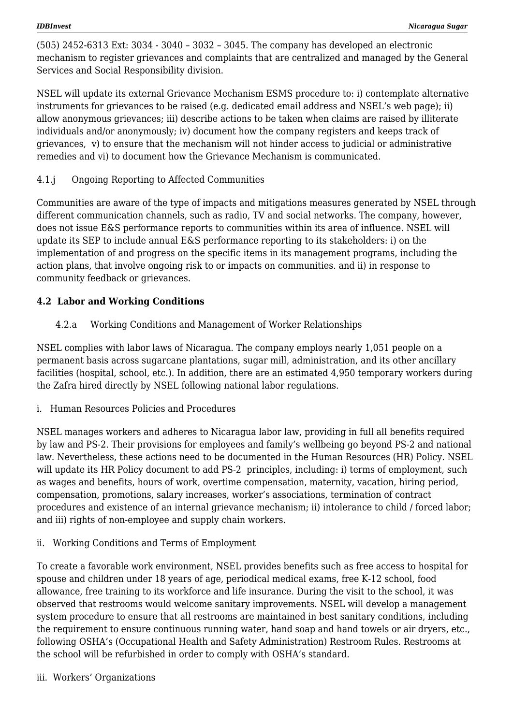(505) 2452-6313 Ext: 3034 - 3040 – 3032 – 3045. The company has developed an electronic mechanism to register grievances and complaints that are centralized and managed by the General Services and Social Responsibility division.

NSEL will update its external Grievance Mechanism ESMS procedure to: i) contemplate alternative instruments for grievances to be raised (e.g. dedicated email address and NSEL's web page); ii) allow anonymous grievances; iii) describe actions to be taken when claims are raised by illiterate individuals and/or anonymously; iv) document how the company registers and keeps track of grievances, v) to ensure that the mechanism will not hinder access to judicial or administrative remedies and vi) to document how the Grievance Mechanism is communicated.

4.1.j Ongoing Reporting to Affected Communities

Communities are aware of the type of impacts and mitigations measures generated by NSEL through different communication channels, such as radio, TV and social networks. The company, however, does not issue E&S performance reports to communities within its area of influence. NSEL will update its SEP to include annual E&S performance reporting to its stakeholders: i) on the implementation of and progress on the specific items in its management programs, including the action plans, that involve ongoing risk to or impacts on communities. and ii) in response to community feedback or grievances.

# **4.2 Labor and Working Conditions**

4.2.a Working Conditions and Management of Worker Relationships

NSEL complies with labor laws of Nicaragua. The company employs nearly 1,051 people on a permanent basis across sugarcane plantations, sugar mill, administration, and its other ancillary facilities (hospital, school, etc.). In addition, there are an estimated 4,950 temporary workers during the Zafra hired directly by NSEL following national labor regulations.

i. Human Resources Policies and Procedures

NSEL manages workers and adheres to Nicaragua labor law, providing in full all benefits required by law and PS-2. Their provisions for employees and family's wellbeing go beyond PS-2 and national law. Nevertheless, these actions need to be documented in the Human Resources (HR) Policy. NSEL will update its HR Policy document to add PS-2 principles, including: i) terms of employment, such as wages and benefits, hours of work, overtime compensation, maternity, vacation, hiring period, compensation, promotions, salary increases, worker's associations, termination of contract procedures and existence of an internal grievance mechanism; ii) intolerance to child / forced labor; and iii) rights of non-employee and supply chain workers.

ii. Working Conditions and Terms of Employment

To create a favorable work environment, NSEL provides benefits such as free access to hospital for spouse and children under 18 years of age, periodical medical exams, free K-12 school, food allowance, free training to its workforce and life insurance. During the visit to the school, it was observed that restrooms would welcome sanitary improvements. NSEL will develop a management system procedure to ensure that all restrooms are maintained in best sanitary conditions, including the requirement to ensure continuous running water, hand soap and hand towels or air dryers, etc., following OSHA's (Occupational Health and Safety Administration) Restroom Rules. Restrooms at the school will be refurbished in order to comply with OSHA's standard.

iii. Workers' Organizations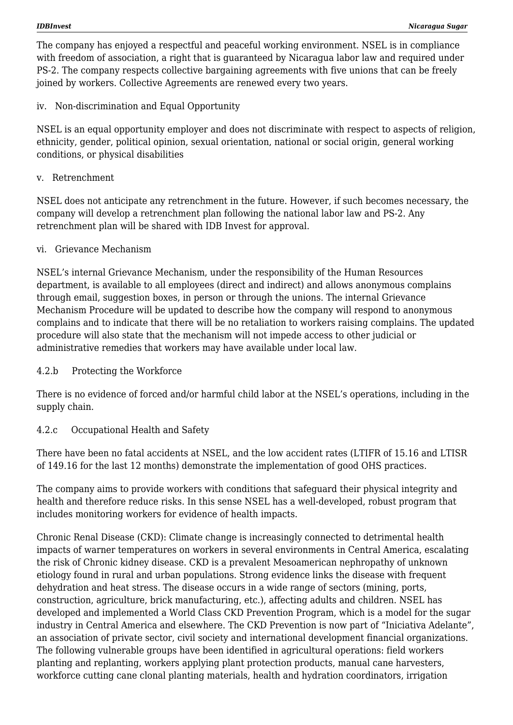The company has enjoyed a respectful and peaceful working environment. NSEL is in compliance with freedom of association, a right that is guaranteed by Nicaragua labor law and required under PS-2. The company respects collective bargaining agreements with five unions that can be freely joined by workers. Collective Agreements are renewed every two years.

iv. Non-discrimination and Equal Opportunity

NSEL is an equal opportunity employer and does not discriminate with respect to aspects of religion, ethnicity, gender, political opinion, sexual orientation, national or social origin, general working conditions, or physical disabilities

v. Retrenchment

NSEL does not anticipate any retrenchment in the future. However, if such becomes necessary, the company will develop a retrenchment plan following the national labor law and PS-2. Any retrenchment plan will be shared with IDB Invest for approval.

#### vi. Grievance Mechanism

NSEL's internal Grievance Mechanism, under the responsibility of the Human Resources department, is available to all employees (direct and indirect) and allows anonymous complains through email, suggestion boxes, in person or through the unions. The internal Grievance Mechanism Procedure will be updated to describe how the company will respond to anonymous complains and to indicate that there will be no retaliation to workers raising complains. The updated procedure will also state that the mechanism will not impede access to other judicial or administrative remedies that workers may have available under local law.

#### 4.2.b Protecting the Workforce

There is no evidence of forced and/or harmful child labor at the NSEL's operations, including in the supply chain.

### 4.2.c Occupational Health and Safety

There have been no fatal accidents at NSEL, and the low accident rates (LTIFR of 15.16 and LTISR of 149.16 for the last 12 months) demonstrate the implementation of good OHS practices.

The company aims to provide workers with conditions that safeguard their physical integrity and health and therefore reduce risks. In this sense NSEL has a well-developed, robust program that includes monitoring workers for evidence of health impacts.

Chronic Renal Disease (CKD): Climate change is increasingly connected to detrimental health impacts of warner temperatures on workers in several environments in Central America, escalating the risk of Chronic kidney disease. CKD is a prevalent Mesoamerican nephropathy of unknown etiology found in rural and urban populations. Strong evidence links the disease with frequent dehydration and heat stress. The disease occurs in a wide range of sectors (mining, ports, construction, agriculture, brick manufacturing, etc.), affecting adults and children. NSEL has developed and implemented a World Class CKD Prevention Program, which is a model for the sugar industry in Central America and elsewhere. The CKD Prevention is now part of "Iniciativa Adelante", an association of private sector, civil society and international development financial organizations. The following vulnerable groups have been identified in agricultural operations: field workers planting and replanting, workers applying plant protection products, manual cane harvesters, workforce cutting cane clonal planting materials, health and hydration coordinators, irrigation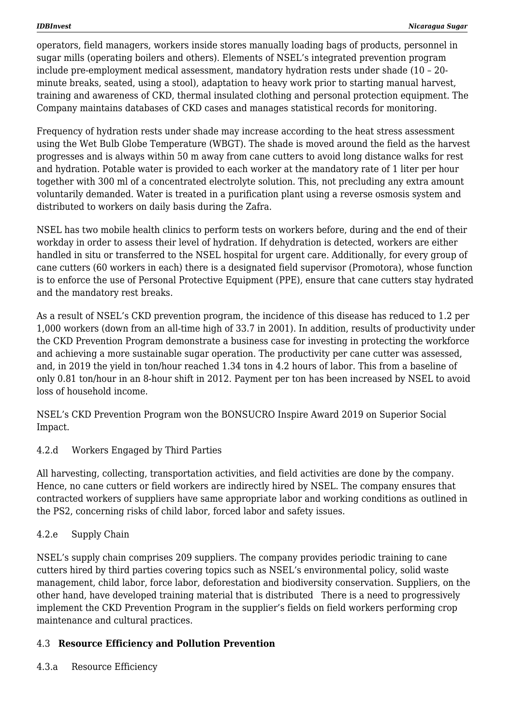operators, field managers, workers inside stores manually loading bags of products, personnel in sugar mills (operating boilers and others). Elements of NSEL's integrated prevention program include pre-employment medical assessment, mandatory hydration rests under shade (10 – 20 minute breaks, seated, using a stool), adaptation to heavy work prior to starting manual harvest, training and awareness of CKD, thermal insulated clothing and personal protection equipment. The Company maintains databases of CKD cases and manages statistical records for monitoring.

Frequency of hydration rests under shade may increase according to the heat stress assessment using the Wet Bulb Globe Temperature (WBGT). The shade is moved around the field as the harvest progresses and is always within 50 m away from cane cutters to avoid long distance walks for rest and hydration. Potable water is provided to each worker at the mandatory rate of 1 liter per hour together with 300 ml of a concentrated electrolyte solution. This, not precluding any extra amount voluntarily demanded. Water is treated in a purification plant using a reverse osmosis system and distributed to workers on daily basis during the Zafra.

NSEL has two mobile health clinics to perform tests on workers before, during and the end of their workday in order to assess their level of hydration. If dehydration is detected, workers are either handled in situ or transferred to the NSEL hospital for urgent care. Additionally, for every group of cane cutters (60 workers in each) there is a designated field supervisor (Promotora), whose function is to enforce the use of Personal Protective Equipment (PPE), ensure that cane cutters stay hydrated and the mandatory rest breaks.

As a result of NSEL's CKD prevention program, the incidence of this disease has reduced to 1.2 per 1,000 workers (down from an all-time high of 33.7 in 2001). In addition, results of productivity under the CKD Prevention Program demonstrate a business case for investing in protecting the workforce and achieving a more sustainable sugar operation. The productivity per cane cutter was assessed, and, in 2019 the yield in ton/hour reached 1.34 tons in 4.2 hours of labor. This from a baseline of only 0.81 ton/hour in an 8-hour shift in 2012. Payment per ton has been increased by NSEL to avoid loss of household income.

NSEL's CKD Prevention Program won the BONSUCRO Inspire Award 2019 on Superior Social Impact.

## 4.2.d Workers Engaged by Third Parties

All harvesting, collecting, transportation activities, and field activities are done by the company. Hence, no cane cutters or field workers are indirectly hired by NSEL. The company ensures that contracted workers of suppliers have same appropriate labor and working conditions as outlined in the PS2, concerning risks of child labor, forced labor and safety issues.

### 4.2.e Supply Chain

NSEL's supply chain comprises 209 suppliers. The company provides periodic training to cane cutters hired by third parties covering topics such as NSEL's environmental policy, solid waste management, child labor, force labor, deforestation and biodiversity conservation. Suppliers, on the other hand, have developed training material that is distributed There is a need to progressively implement the CKD Prevention Program in the supplier's fields on field workers performing crop maintenance and cultural practices.

### 4.3 **Resource Efficiency and Pollution Prevention**

4.3.a Resource Efficiency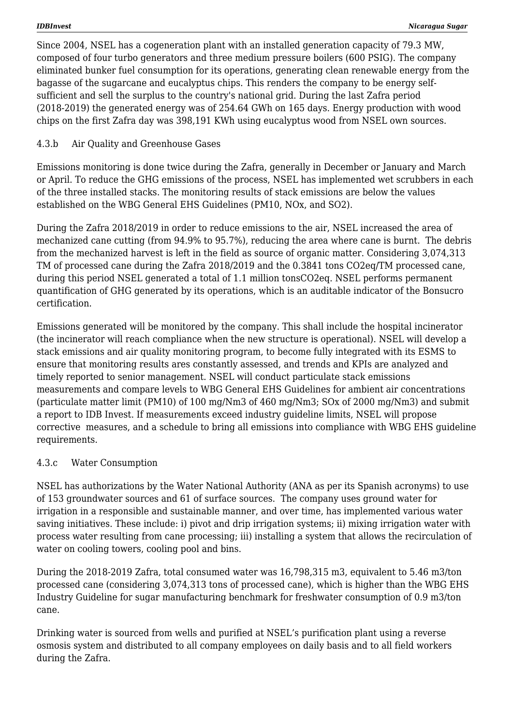Since 2004, NSEL has a cogeneration plant with an installed generation capacity of 79.3 MW, composed of four turbo generators and three medium pressure boilers (600 PSIG). The company eliminated bunker fuel consumption for its operations, generating clean renewable energy from the bagasse of the sugarcane and eucalyptus chips. This renders the company to be energy selfsufficient and sell the surplus to the country's national grid. During the last Zafra period (2018-2019) the generated energy was of 254.64 GWh on 165 days. Energy production with wood chips on the first Zafra day was 398,191 KWh using eucalyptus wood from NSEL own sources.

## 4.3.b Air Quality and Greenhouse Gases

Emissions monitoring is done twice during the Zafra, generally in December or January and March or April. To reduce the GHG emissions of the process, NSEL has implemented wet scrubbers in each of the three installed stacks. The monitoring results of stack emissions are below the values established on the WBG General EHS Guidelines (PM10, NOx, and SO2).

During the Zafra 2018/2019 in order to reduce emissions to the air, NSEL increased the area of mechanized cane cutting (from 94.9% to 95.7%), reducing the area where cane is burnt. The debris from the mechanized harvest is left in the field as source of organic matter. Considering 3,074,313 TM of processed cane during the Zafra 2018/2019 and the 0.3841 tons CO2eq/TM processed cane, during this period NSEL generated a total of 1.1 million tonsCO2eq. NSEL performs permanent quantification of GHG generated by its operations, which is an auditable indicator of the Bonsucro certification.

Emissions generated will be monitored by the company. This shall include the hospital incinerator (the incinerator will reach compliance when the new structure is operational). NSEL will develop a stack emissions and air quality monitoring program, to become fully integrated with its ESMS to ensure that monitoring results ares constantly assessed, and trends and KPIs are analyzed and timely reported to senior management. NSEL will conduct particulate stack emissions measurements and compare levels to WBG General EHS Guidelines for ambient air concentrations (particulate matter limit (PM10) of 100 mg/Nm3 of 460 mg/Nm3; SOx of 2000 mg/Nm3) and submit a report to IDB Invest. If measurements exceed industry guideline limits, NSEL will propose corrective measures, and a schedule to bring all emissions into compliance with WBG EHS guideline requirements.

### 4.3.c Water Consumption

NSEL has authorizations by the Water National Authority (ANA as per its Spanish acronyms) to use of 153 groundwater sources and 61 of surface sources. The company uses ground water for irrigation in a responsible and sustainable manner, and over time, has implemented various water saving initiatives. These include: i) pivot and drip irrigation systems; ii) mixing irrigation water with process water resulting from cane processing; iii) installing a system that allows the recirculation of water on cooling towers, cooling pool and bins.

During the 2018-2019 Zafra, total consumed water was 16,798,315 m3, equivalent to 5.46 m3/ton processed cane (considering 3,074,313 tons of processed cane), which is higher than the WBG EHS Industry Guideline for sugar manufacturing benchmark for freshwater consumption of 0.9 m3/ton cane.

Drinking water is sourced from wells and purified at NSEL's purification plant using a reverse osmosis system and distributed to all company employees on daily basis and to all field workers during the Zafra.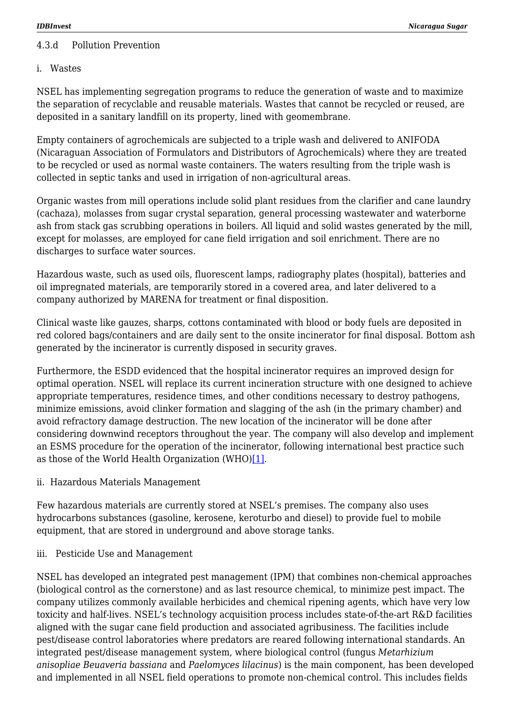#### 4.3.d Pollution Prevention

#### i. Wastes

NSEL has implementing segregation programs to reduce the generation of waste and to maximize the separation of recyclable and reusable materials. Wastes that cannot be recycled or reused, are deposited in a sanitary landfill on its property, lined with geomembrane.

Empty containers of agrochemicals are subjected to a triple wash and delivered to ANIFODA (Nicaraguan Association of Formulators and Distributors of Agrochemicals) where they are treated to be recycled or used as normal waste containers. The waters resulting from the triple wash is collected in septic tanks and used in irrigation of non-agricultural areas.

Organic wastes from mill operations include solid plant residues from the clarifier and cane laundry (cachaza), molasses from sugar crystal separation, general processing wastewater and waterborne ash from stack gas scrubbing operations in boilers. All liquid and solid wastes generated by the mill, except for molasses, are employed for cane field irrigation and soil enrichment. There are no discharges to surface water sources.

Hazardous waste, such as used oils, fluorescent lamps, radiography plates (hospital), batteries and oil impregnated materials, are temporarily stored in a covered area, and later delivered to a company authorized by MARENA for treatment or final disposition.

Clinical waste like gauzes, sharps, cottons contaminated with blood or body fuels are deposited in red colored bags/containers and are daily sent to the onsite incinerator for final disposal. Bottom ash generated by the incinerator is currently disposed in security graves.

Furthermore, the ESDD evidenced that the hospital incinerator requires an improved design for optimal operation. NSEL will replace its current incineration structure with one designed to achieve appropriate temperatures, residence times, and other conditions necessary to destroy pathogens, minimize emissions, avoid clinker formation and slagging of the ash (in the primary chamber) and avoid refractory damage destruction. The new location of the incinerator will be done after considering downwind receptors throughout the year. The company will also develop and implement an ESMS procedure for the operation of the incinerator, following international best practice such as those of the World Health Organization (WHO)[\[1\].](#page--1-0)

ii. Hazardous Materials Management

Few hazardous materials are currently stored at NSEL's premises. The company also uses hydrocarbons substances (gasoline, kerosene, keroturbo and diesel) to provide fuel to mobile equipment, that are stored in underground and above storage tanks.

iii. Pesticide Use and Management

NSEL has developed an integrated pest management (IPM) that combines non-chemical approaches (biological control as the cornerstone) and as last resource chemical, to minimize pest impact. The company utilizes commonly available herbicides and chemical ripening agents, which have very low toxicity and half-lives. NSEL's technology acquisition process includes state-of-the-art R&D facilities aligned with the sugar cane field production and associated agribusiness. The facilities include pest/disease control laboratories where predators are reared following international standards. An integrated pest/disease management system, where biological control (fungus *Metarhizium anisopliae Beuaveria bassiana* and *Paelomyces lilacinus*) is the main component, has been developed and implemented in all NSEL field operations to promote non-chemical control. This includes fields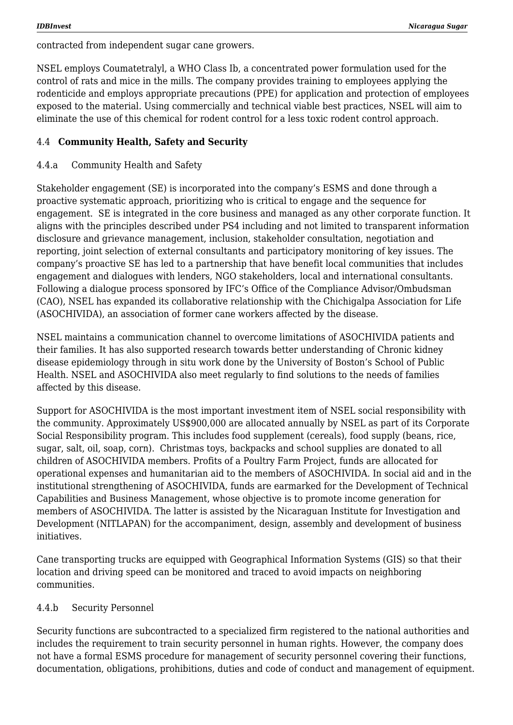contracted from independent sugar cane growers.

NSEL employs Coumatetralyl, a WHO Class Ib, a concentrated power formulation used for the control of rats and mice in the mills. The company provides training to employees applying the rodenticide and employs appropriate precautions (PPE) for application and protection of employees exposed to the material. Using commercially and technical viable best practices, NSEL will aim to eliminate the use of this chemical for rodent control for a less toxic rodent control approach.

### 4.4 **Community Health, Safety and Security**

#### 4.4.a Community Health and Safety

Stakeholder engagement (SE) is incorporated into the company's ESMS and done through a proactive systematic approach, prioritizing who is critical to engage and the sequence for engagement. SE is integrated in the core business and managed as any other corporate function. It aligns with the principles described under PS4 including and not limited to transparent information disclosure and grievance management, inclusion, stakeholder consultation, negotiation and reporting, joint selection of external consultants and participatory monitoring of key issues. The company's proactive SE has led to a partnership that have benefit local communities that includes engagement and dialogues with lenders, NGO stakeholders, local and international consultants. Following a dialogue process sponsored by IFC's Office of the Compliance Advisor/Ombudsman (CAO), NSEL has expanded its collaborative relationship with the Chichigalpa Association for Life (ASOCHIVIDA), an association of former cane workers affected by the disease.

NSEL maintains a communication channel to overcome limitations of ASOCHIVIDA patients and their families. It has also supported research towards better understanding of Chronic kidney disease epidemiology through in situ work done by the University of Boston's School of Public Health. NSEL and ASOCHIVIDA also meet regularly to find solutions to the needs of families affected by this disease.

Support for ASOCHIVIDA is the most important investment item of NSEL social responsibility with the community. Approximately US\$900,000 are allocated annually by NSEL as part of its Corporate Social Responsibility program. This includes food supplement (cereals), food supply (beans, rice, sugar, salt, oil, soap, corn). Christmas toys, backpacks and school supplies are donated to all children of ASOCHIVIDA members. Profits of a Poultry Farm Project, funds are allocated for operational expenses and humanitarian aid to the members of ASOCHIVIDA. In social aid and in the institutional strengthening of ASOCHIVIDA, funds are earmarked for the Development of Technical Capabilities and Business Management, whose objective is to promote income generation for members of ASOCHIVIDA. The latter is assisted by the Nicaraguan Institute for Investigation and Development (NITLAPAN) for the accompaniment, design, assembly and development of business initiatives.

Cane transporting trucks are equipped with Geographical Information Systems (GIS) so that their location and driving speed can be monitored and traced to avoid impacts on neighboring communities.

#### 4.4.b Security Personnel

Security functions are subcontracted to a specialized firm registered to the national authorities and includes the requirement to train security personnel in human rights. However, the company does not have a formal ESMS procedure for management of security personnel covering their functions, documentation, obligations, prohibitions, duties and code of conduct and management of equipment.